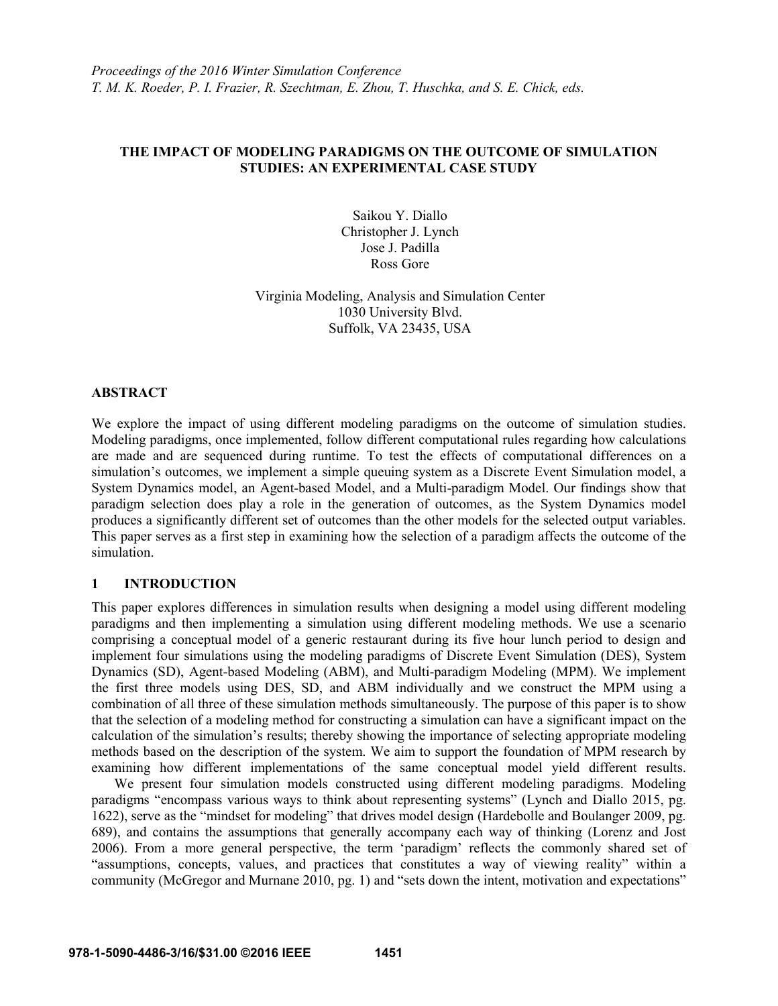# **THE IMPACT OF MODELING PARADIGMS ON THE OUTCOME OF SIMULATION STUDIES: AN EXPERIMENTAL CASE STUDY**

Saikou Y. Diallo Christopher J. Lynch Jose J. Padilla Ross Gore

Virginia Modeling, Analysis and Simulation Center 1030 University Blvd. Suffolk, VA 23435, USA

# **ABSTRACT**

We explore the impact of using different modeling paradigms on the outcome of simulation studies. Modeling paradigms, once implemented, follow different computational rules regarding how calculations are made and are sequenced during runtime. To test the effects of computational differences on a simulation's outcomes, we implement a simple queuing system as a Discrete Event Simulation model, a System Dynamics model, an Agent-based Model, and a Multi-paradigm Model. Our findings show that paradigm selection does play a role in the generation of outcomes, as the System Dynamics model produces a significantly different set of outcomes than the other models for the selected output variables. This paper serves as a first step in examining how the selection of a paradigm affects the outcome of the simulation.

# **1 INTRODUCTION**

This paper explores differences in simulation results when designing a model using different modeling paradigms and then implementing a simulation using different modeling methods. We use a scenario comprising a conceptual model of a generic restaurant during its five hour lunch period to design and implement four simulations using the modeling paradigms of Discrete Event Simulation (DES), System Dynamics (SD), Agent-based Modeling (ABM), and Multi-paradigm Modeling (MPM). We implement the first three models using DES, SD, and ABM individually and we construct the MPM using a combination of all three of these simulation methods simultaneously. The purpose of this paper is to show that the selection of a modeling method for constructing a simulation can have a significant impact on the calculation of the simulation's results; thereby showing the importance of selecting appropriate modeling methods based on the description of the system. We aim to support the foundation of MPM research by examining how different implementations of the same conceptual model yield different results.

We present four simulation models constructed using different modeling paradigms. Modeling paradigms "encompass various ways to think about representing systems" (Lynch and Diallo 2015, pg. 1622), serve as the "mindset for modeling" that drives model design (Hardebolle and Boulanger 2009, pg. 689), and contains the assumptions that generally accompany each way of thinking (Lorenz and Jost 2006). From a more general perspective, the term 'paradigm' reflects the commonly shared set of "assumptions, concepts, values, and practices that constitutes a way of viewing reality" within a community (McGregor and Murnane 2010, pg. 1) and "sets down the intent, motivation and expectations"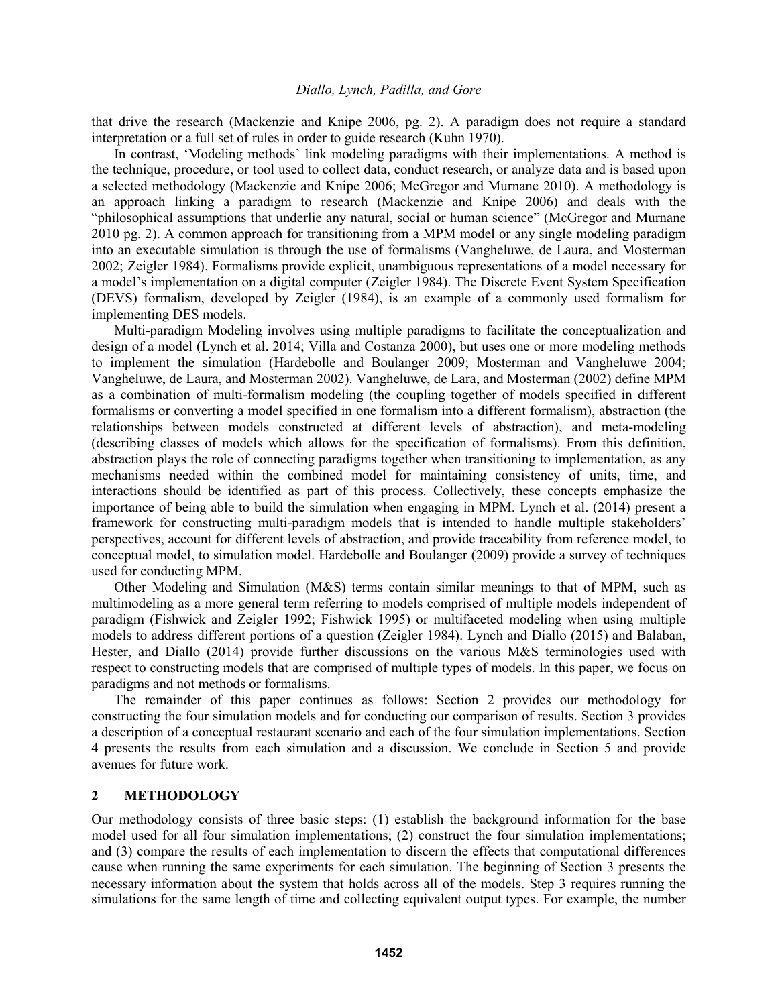that drive the research (Mackenzie and Knipe 2006, pg. 2). A paradigm does not require a standard interpretation or a full set of rules in order to guide research (Kuhn 1970).

In contrast, 'Modeling methods' link modeling paradigms with their implementations. A method is the technique, procedure, or tool used to collect data, conduct research, or analyze data and is based upon a selected methodology (Mackenzie and Knipe 2006; McGregor and Murnane 2010). A methodology is an approach linking a paradigm to research (Mackenzie and Knipe 2006) and deals with the "philosophical assumptions that underlie any natural, social or human science" (McGregor and Murnane 2010 pg. 2). A common approach for transitioning from a MPM model or any single modeling paradigm into an executable simulation is through the use of formalisms (Vangheluwe, de Laura, and Mosterman 2002; Zeigler 1984). Formalisms provide explicit, unambiguous representations of a model necessary for a model's implementation on a digital computer (Zeigler 1984). The Discrete Event System Specification (DEVS) formalism, developed by Zeigler (1984), is an example of a commonly used formalism for implementing DES models.

Multi-paradigm Modeling involves using multiple paradigms to facilitate the conceptualization and design of a model (Lynch et al. 2014; Villa and Costanza 2000), but uses one or more modeling methods to implement the simulation (Hardebolle and Boulanger 2009; Mosterman and Vangheluwe 2004; Vangheluwe, de Laura, and Mosterman 2002). Vangheluwe, de Lara, and Mosterman (2002) define MPM as a combination of multi-formalism modeling (the coupling together of models specified in different formalisms or converting a model specified in one formalism into a different formalism), abstraction (the relationships between models constructed at different levels of abstraction), and meta-modeling (describing classes of models which allows for the specification of formalisms). From this definition, abstraction plays the role of connecting paradigms together when transitioning to implementation, as any mechanisms needed within the combined model for maintaining consistency of units, time, and interactions should be identified as part of this process. Collectively, these concepts emphasize the importance of being able to build the simulation when engaging in MPM. Lynch et al. (2014) present a framework for constructing multi-paradigm models that is intended to handle multiple stakeholders' perspectives, account for different levels of abstraction, and provide traceability from reference model, to conceptual model, to simulation model. Hardebolle and Boulanger (2009) provide a survey of techniques used for conducting MPM.

Other Modeling and Simulation (M&S) terms contain similar meanings to that of MPM, such as multimodeling as a more general term referring to models comprised of multiple models independent of paradigm (Fishwick and Zeigler 1992; Fishwick 1995) or multifaceted modeling when using multiple models to address different portions of a question (Zeigler 1984). Lynch and Diallo (2015) and Balaban, Hester, and Diallo (2014) provide further discussions on the various M&S terminologies used with respect to constructing models that are comprised of multiple types of models. In this paper, we focus on paradigms and not methods or formalisms.

The remainder of this paper continues as follows: Section 2 provides our methodology for constructing the four simulation models and for conducting our comparison of results. Section 3 provides a description of a conceptual restaurant scenario and each of the four simulation implementations. Section 4 presents the results from each simulation and a discussion. We conclude in Section 5 and provide avenues for future work.

# **2 METHODOLOGY**

Our methodology consists of three basic steps: (1) establish the background information for the base model used for all four simulation implementations; (2) construct the four simulation implementations; and (3) compare the results of each implementation to discern the effects that computational differences cause when running the same experiments for each simulation. The beginning of Section 3 presents the necessary information about the system that holds across all of the models. Step 3 requires running the simulations for the same length of time and collecting equivalent output types. For example, the number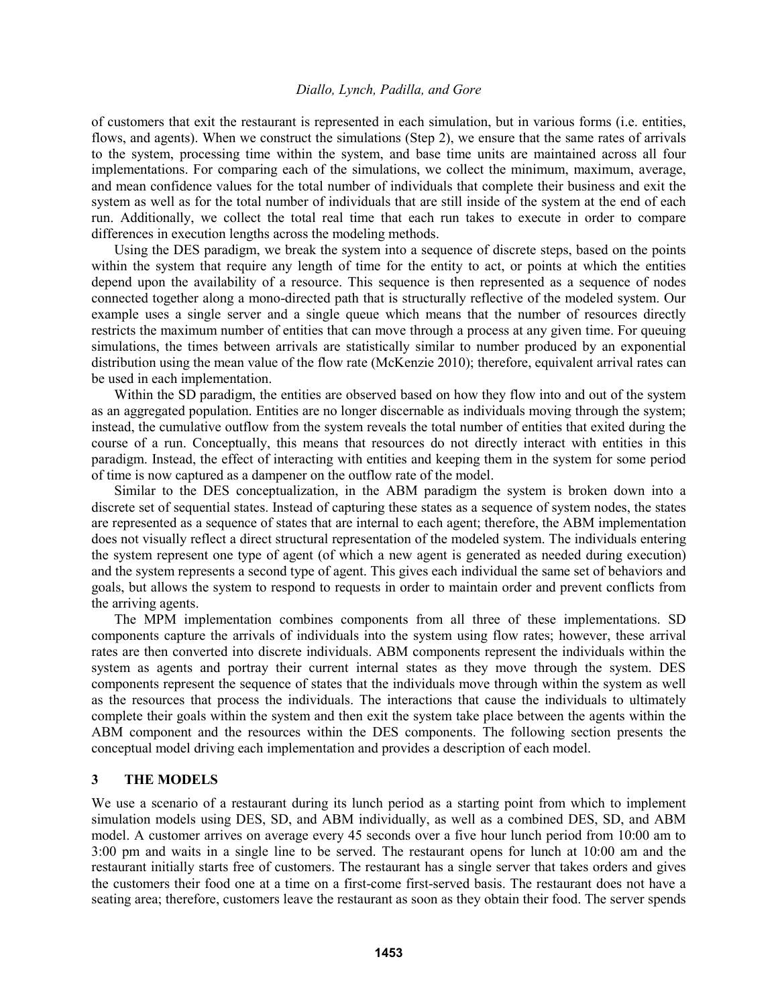of customers that exit the restaurant is represented in each simulation, but in various forms (i.e. entities, flows, and agents). When we construct the simulations (Step 2), we ensure that the same rates of arrivals to the system, processing time within the system, and base time units are maintained across all four implementations. For comparing each of the simulations, we collect the minimum, maximum, average, and mean confidence values for the total number of individuals that complete their business and exit the system as well as for the total number of individuals that are still inside of the system at the end of each run. Additionally, we collect the total real time that each run takes to execute in order to compare differences in execution lengths across the modeling methods.

Using the DES paradigm, we break the system into a sequence of discrete steps, based on the points within the system that require any length of time for the entity to act, or points at which the entities depend upon the availability of a resource. This sequence is then represented as a sequence of nodes connected together along a mono-directed path that is structurally reflective of the modeled system. Our example uses a single server and a single queue which means that the number of resources directly restricts the maximum number of entities that can move through a process at any given time. For queuing simulations, the times between arrivals are statistically similar to number produced by an exponential distribution using the mean value of the flow rate (McKenzie 2010); therefore, equivalent arrival rates can be used in each implementation.

Within the SD paradigm, the entities are observed based on how they flow into and out of the system as an aggregated population. Entities are no longer discernable as individuals moving through the system; instead, the cumulative outflow from the system reveals the total number of entities that exited during the course of a run. Conceptually, this means that resources do not directly interact with entities in this paradigm. Instead, the effect of interacting with entities and keeping them in the system for some period of time is now captured as a dampener on the outflow rate of the model.

Similar to the DES conceptualization, in the ABM paradigm the system is broken down into a discrete set of sequential states. Instead of capturing these states as a sequence of system nodes, the states are represented as a sequence of states that are internal to each agent; therefore, the ABM implementation does not visually reflect a direct structural representation of the modeled system. The individuals entering the system represent one type of agent (of which a new agent is generated as needed during execution) and the system represents a second type of agent. This gives each individual the same set of behaviors and goals, but allows the system to respond to requests in order to maintain order and prevent conflicts from the arriving agents.

The MPM implementation combines components from all three of these implementations. SD components capture the arrivals of individuals into the system using flow rates; however, these arrival rates are then converted into discrete individuals. ABM components represent the individuals within the system as agents and portray their current internal states as they move through the system. DES components represent the sequence of states that the individuals move through within the system as well as the resources that process the individuals. The interactions that cause the individuals to ultimately complete their goals within the system and then exit the system take place between the agents within the ABM component and the resources within the DES components. The following section presents the conceptual model driving each implementation and provides a description of each model.

# **3 THE MODELS**

We use a scenario of a restaurant during its lunch period as a starting point from which to implement simulation models using DES, SD, and ABM individually, as well as a combined DES, SD, and ABM model. A customer arrives on average every 45 seconds over a five hour lunch period from 10:00 am to 3:00 pm and waits in a single line to be served. The restaurant opens for lunch at 10:00 am and the restaurant initially starts free of customers. The restaurant has a single server that takes orders and gives the customers their food one at a time on a first-come first-served basis. The restaurant does not have a seating area; therefore, customers leave the restaurant as soon as they obtain their food. The server spends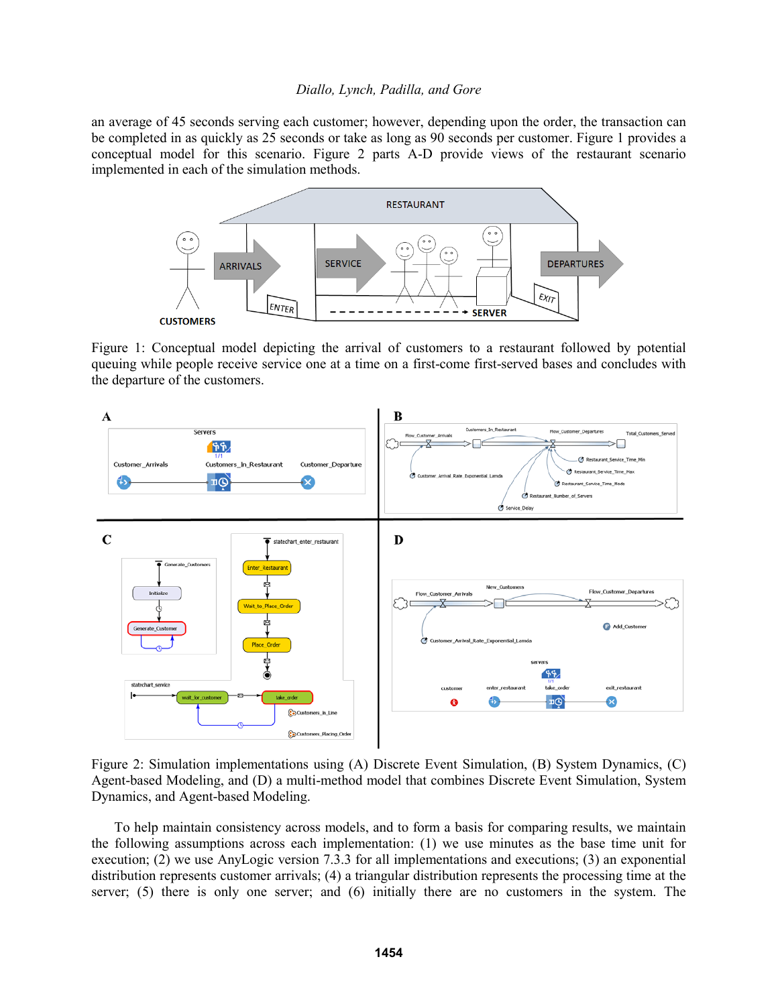an average of 45 seconds serving each customer; however, depending upon the order, the transaction can be completed in as quickly as 25 seconds or take as long as 90 seconds per customer. Figure 1 provides a conceptual model for this scenario. Figure 2 parts A-D provide views of the restaurant scenario implemented in each of the simulation methods.



Figure 1: Conceptual model depicting the arrival of customers to a restaurant followed by potential queuing while people receive service one at a time on a first-come first-served bases and concludes with the departure of the customers.



Figure 2: Simulation implementations using (A) Discrete Event Simulation, (B) System Dynamics, (C) Agent-based Modeling, and (D) a multi-method model that combines Discrete Event Simulation, System Dynamics, and Agent-based Modeling.

To help maintain consistency across models, and to form a basis for comparing results, we maintain the following assumptions across each implementation: (1) we use minutes as the base time unit for execution; (2) we use AnyLogic version 7.3.3 for all implementations and executions; (3) an exponential distribution represents customer arrivals; (4) a triangular distribution represents the processing time at the server; (5) there is only one server; and (6) initially there are no customers in the system. The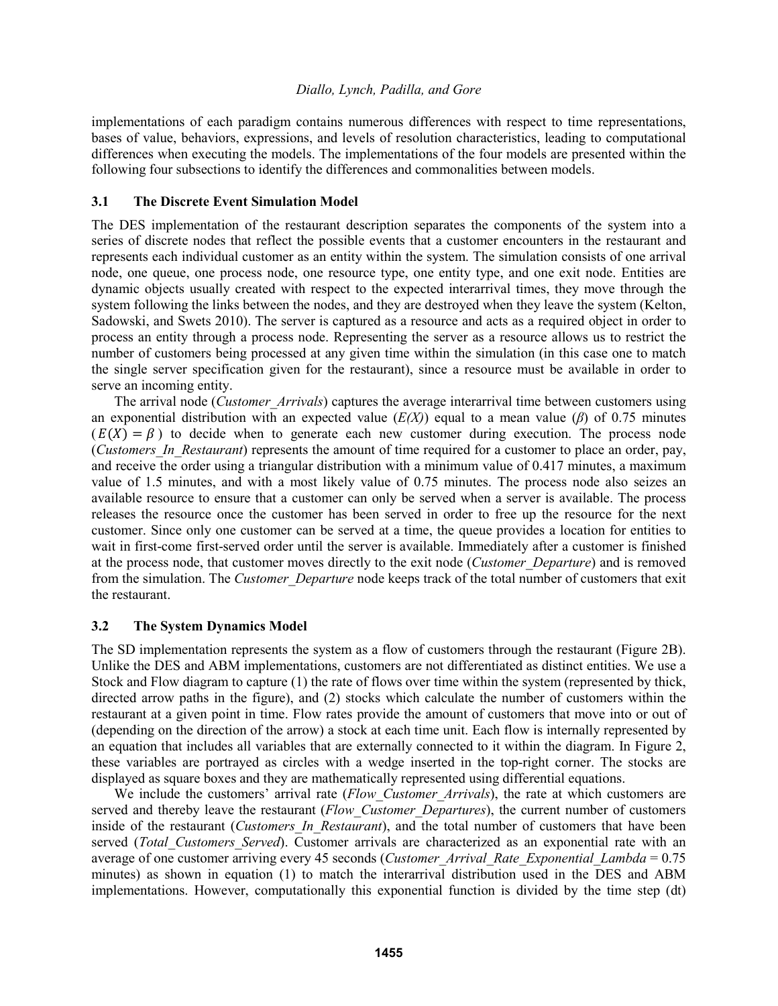implementations of each paradigm contains numerous differences with respect to time representations, bases of value, behaviors, expressions, and levels of resolution characteristics, leading to computational differences when executing the models. The implementations of the four models are presented within the following four subsections to identify the differences and commonalities between models.

### **3.1 The Discrete Event Simulation Model**

The DES implementation of the restaurant description separates the components of the system into a series of discrete nodes that reflect the possible events that a customer encounters in the restaurant and represents each individual customer as an entity within the system. The simulation consists of one arrival node, one queue, one process node, one resource type, one entity type, and one exit node. Entities are dynamic objects usually created with respect to the expected interarrival times, they move through the system following the links between the nodes, and they are destroyed when they leave the system (Kelton, Sadowski, and Swets 2010). The server is captured as a resource and acts as a required object in order to process an entity through a process node. Representing the server as a resource allows us to restrict the number of customers being processed at any given time within the simulation (in this case one to match the single server specification given for the restaurant), since a resource must be available in order to serve an incoming entity.

The arrival node (*Customer\_Arrivals*) captures the average interarrival time between customers using an exponential distribution with an expected value  $(E(X))$  equal to a mean value ( $\beta$ ) of 0.75 minutes  $(E(X) = \beta)$  to decide when to generate each new customer during execution. The process node (*Customers\_In\_Restaurant*) represents the amount of time required for a customer to place an order, pay, and receive the order using a triangular distribution with a minimum value of 0.417 minutes, a maximum value of 1.5 minutes, and with a most likely value of 0.75 minutes. The process node also seizes an available resource to ensure that a customer can only be served when a server is available. The process releases the resource once the customer has been served in order to free up the resource for the next customer. Since only one customer can be served at a time, the queue provides a location for entities to wait in first-come first-served order until the server is available. Immediately after a customer is finished at the process node, that customer moves directly to the exit node (*Customer\_Departure*) and is removed from the simulation. The *Customer\_Departure* node keeps track of the total number of customers that exit the restaurant.

# **3.2 The System Dynamics Model**

The SD implementation represents the system as a flow of customers through the restaurant (Figure 2B). Unlike the DES and ABM implementations, customers are not differentiated as distinct entities. We use a Stock and Flow diagram to capture (1) the rate of flows over time within the system (represented by thick, directed arrow paths in the figure), and (2) stocks which calculate the number of customers within the restaurant at a given point in time. Flow rates provide the amount of customers that move into or out of (depending on the direction of the arrow) a stock at each time unit. Each flow is internally represented by an equation that includes all variables that are externally connected to it within the diagram. In Figure 2, these variables are portrayed as circles with a wedge inserted in the top-right corner. The stocks are displayed as square boxes and they are mathematically represented using differential equations.

We include the customers' arrival rate (*Flow Customer Arrivals*), the rate at which customers are served and thereby leave the restaurant (*Flow Customer Departures*), the current number of customers inside of the restaurant *(Customers In Restaurant*), and the total number of customers that have been served (*Total\_Customers\_Served*). Customer arrivals are characterized as an exponential rate with an average of one customer arriving every 45 seconds (*Customer\_Arrival\_Rate\_Exponential\_Lambda* = 0.75 minutes) as shown in equation (1) to match the interarrival distribution used in the DES and ABM implementations. However, computationally this exponential function is divided by the time step (dt)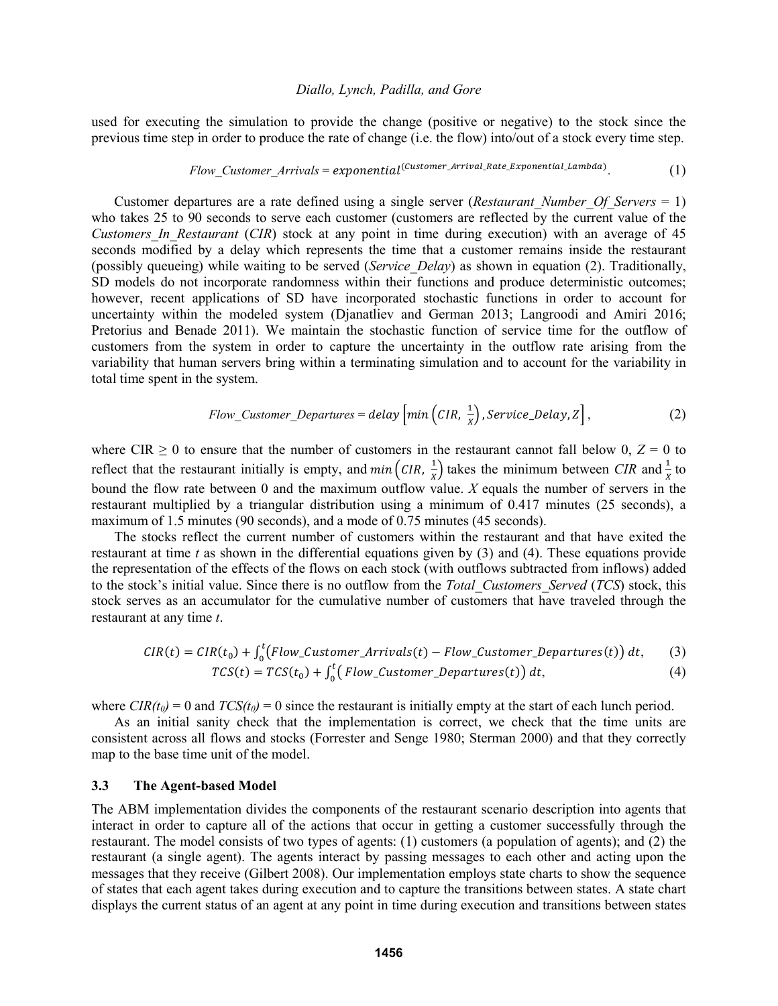used for executing the simulation to provide the change (positive or negative) to the stock since the previous time step in order to produce the rate of change (i.e. the flow) into/out of a stock every time step.

$$
Flow\_Customer\_Arrivals = exponential^{(Customer\_Arrival\_Rate\_Exponential\_Lambda)}.
$$
 (1)

Customer departures are a rate defined using a single server (*Restaurant\_Number\_Of\_Servers* = 1) who takes 25 to 90 seconds to serve each customer (customers are reflected by the current value of the *Customers In Restaurant* (*CIR*) stock at any point in time during execution) with an average of 45 seconds modified by a delay which represents the time that a customer remains inside the restaurant (possibly queueing) while waiting to be served (*Service\_Delay*) as shown in equation (2). Traditionally, SD models do not incorporate randomness within their functions and produce deterministic outcomes; however, recent applications of SD have incorporated stochastic functions in order to account for uncertainty within the modeled system (Djanatliev and German 2013; Langroodi and Amiri 2016; Pretorius and Benade 2011). We maintain the stochastic function of service time for the outflow of customers from the system in order to capture the uncertainty in the outflow rate arising from the variability that human servers bring within a terminating simulation and to account for the variability in total time spent in the system.

Flow<sub>–</sub>Customer<sub>–</sub>Departures = delay 
$$
\left[\min\left(CIR, \frac{1}{x}\right), \text{Service_{\_{}Delay}, Z\right],
$$
 (2)

where CIR  $\geq$  0 to ensure that the number of customers in the restaurant cannot fall below 0, *Z* = 0 to reflect that the restaurant initially is empty, and  $min(CIR, \frac{1}{x})$  takes the minimum between *CIR* and  $\frac{1}{x}$  to bound the flow rate between 0 and the maximum outflow value. *X* equals the number of servers in the restaurant multiplied by a triangular distribution using a minimum of 0.417 minutes (25 seconds), a maximum of 1.5 minutes (90 seconds), and a mode of 0.75 minutes (45 seconds).

The stocks reflect the current number of customers within the restaurant and that have exited the restaurant at time *t* as shown in the differential equations given by (3) and (4). These equations provide the representation of the effects of the flows on each stock (with outflows subtracted from inflows) added to the stock's initial value. Since there is no outflow from the *Total\_Customers\_Served* (*TCS*) stock, this stock serves as an accumulator for the cumulative number of customers that have traveled through the restaurant at any time *t*.

$$
CIR(t) = CIR(t_0) + \int_0^t (Flow\_Customer\_Arrivals(t) - Flow\_Customer\_Department(s(t)) dt,
$$
\n
$$
TCS(t) = TCS(t_0) + \int_0^t (Flow\_Customer\_Department(s(t)) dt,
$$
\n(4)

where  $CIR(t_0) = 0$  and  $TCS(t_0) = 0$  since the restaurant is initially empty at the start of each lunch period.

As an initial sanity check that the implementation is correct, we check that the time units are consistent across all flows and stocks (Forrester and Senge 1980; Sterman 2000) and that they correctly map to the base time unit of the model.

#### **3.3 The Agent-based Model**

The ABM implementation divides the components of the restaurant scenario description into agents that interact in order to capture all of the actions that occur in getting a customer successfully through the restaurant. The model consists of two types of agents: (1) customers (a population of agents); and (2) the restaurant (a single agent). The agents interact by passing messages to each other and acting upon the messages that they receive (Gilbert 2008). Our implementation employs state charts to show the sequence of states that each agent takes during execution and to capture the transitions between states. A state chart displays the current status of an agent at any point in time during execution and transitions between states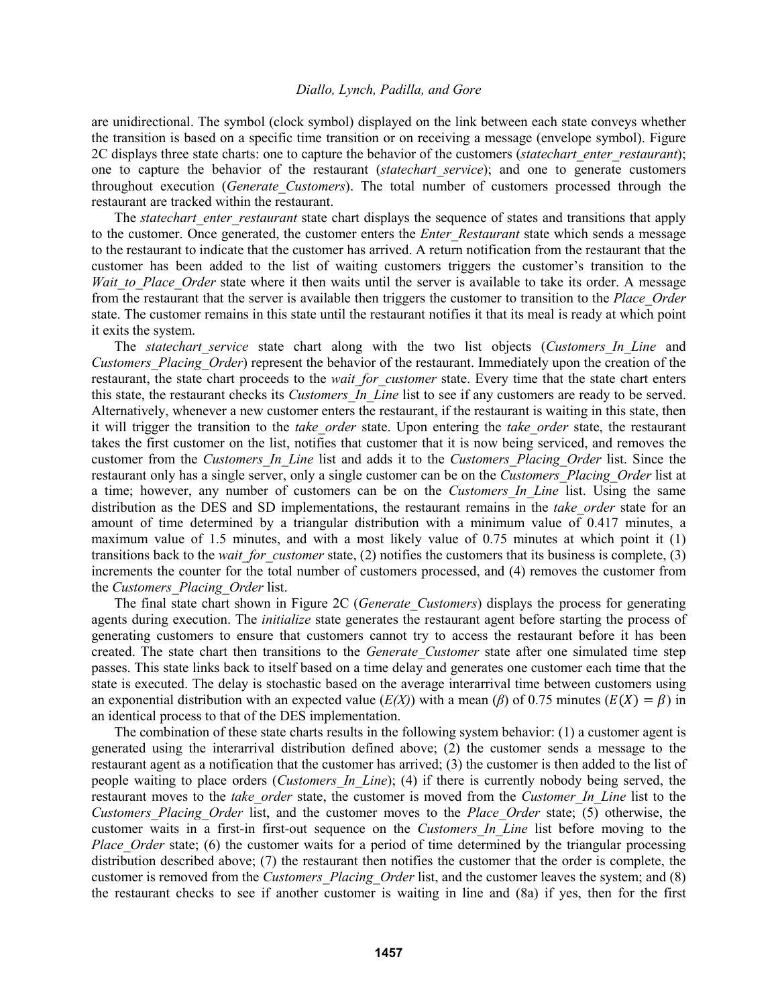are unidirectional. The symbol (clock symbol) displayed on the link between each state conveys whether the transition is based on a specific time transition or on receiving a message (envelope symbol). Figure 2C displays three state charts: one to capture the behavior of the customers (*statechart\_enter\_restaurant*); one to capture the behavior of the restaurant (*statechart\_service*); and one to generate customers throughout execution (*Generate\_Customers*). The total number of customers processed through the restaurant are tracked within the restaurant.

The *statechart enter restaurant* state chart displays the sequence of states and transitions that apply to the customer. Once generated, the customer enters the *Enter* Restaurant state which sends a message to the restaurant to indicate that the customer has arrived. A return notification from the restaurant that the customer has been added to the list of waiting customers triggers the customer's transition to the *Wait to Place Order* state where it then waits until the server is available to take its order. A message from the restaurant that the server is available then triggers the customer to transition to the *Place\_Order* state. The customer remains in this state until the restaurant notifies it that its meal is ready at which point it exits the system.

The *statechart service* state chart along with the two list objects (*Customers In Line* and *Customers\_Placing\_Order*) represent the behavior of the restaurant. Immediately upon the creation of the restaurant, the state chart proceeds to the *wait for customer* state. Every time that the state chart enters this state, the restaurant checks its *Customers\_In\_Line* list to see if any customers are ready to be served. Alternatively, whenever a new customer enters the restaurant, if the restaurant is waiting in this state, then it will trigger the transition to the *take\_order* state. Upon entering the *take\_order* state, the restaurant takes the first customer on the list, notifies that customer that it is now being serviced, and removes the customer from the *Customers\_In\_Line* list and adds it to the *Customers\_Placing\_Order* list. Since the restaurant only has a single server, only a single customer can be on the *Customers\_Placing\_Order* list at a time; however, any number of customers can be on the *Customers\_In\_Line* list. Using the same distribution as the DES and SD implementations, the restaurant remains in the *take\_order* state for an amount of time determined by a triangular distribution with a minimum value of 0.417 minutes, a maximum value of 1.5 minutes, and with a most likely value of 0.75 minutes at which point it (1) transitions back to the *wait\_for\_customer* state, (2) notifies the customers that its business is complete, (3) increments the counter for the total number of customers processed, and (4) removes the customer from the *Customers\_Placing\_Order* list.

The final state chart shown in Figure 2C (*Generate\_Customers*) displays the process for generating agents during execution. The *initialize* state generates the restaurant agent before starting the process of generating customers to ensure that customers cannot try to access the restaurant before it has been created. The state chart then transitions to the *Generate\_Customer* state after one simulated time step passes. This state links back to itself based on a time delay and generates one customer each time that the state is executed. The delay is stochastic based on the average interarrival time between customers using an exponential distribution with an expected value ( $E(X)$ ) with a mean ( $\beta$ ) of 0.75 minutes ( $E(X) = \beta$ ) in an identical process to that of the DES implementation.

The combination of these state charts results in the following system behavior: (1) a customer agent is generated using the interarrival distribution defined above; (2) the customer sends a message to the restaurant agent as a notification that the customer has arrived; (3) the customer is then added to the list of people waiting to place orders (*Customers In Line*); (4) if there is currently nobody being served, the restaurant moves to the *take order* state, the customer is moved from the *Customer In Line* list to the *Customers\_Placing\_Order* list, and the customer moves to the *Place\_Order* state; (5) otherwise, the customer waits in a first-in first-out sequence on the *Customers\_In\_Line* list before moving to the *Place Order* state; (6) the customer waits for a period of time determined by the triangular processing distribution described above; (7) the restaurant then notifies the customer that the order is complete, the customer is removed from the *Customers* Placing Order list, and the customer leaves the system; and (8) the restaurant checks to see if another customer is waiting in line and (8a) if yes, then for the first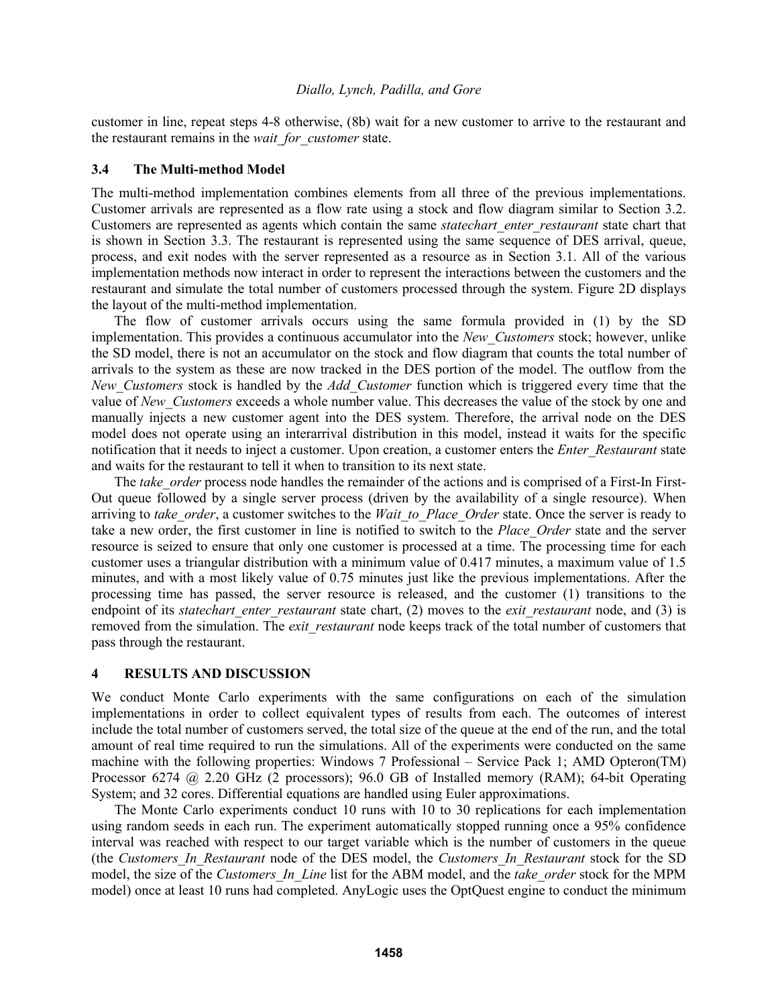customer in line, repeat steps 4-8 otherwise, (8b) wait for a new customer to arrive to the restaurant and the restaurant remains in the *wait\_for\_customer* state.

### **3.4 The Multi-method Model**

The multi-method implementation combines elements from all three of the previous implementations. Customer arrivals are represented as a flow rate using a stock and flow diagram similar to Section 3.2. Customers are represented as agents which contain the same *statechart\_enter\_restaurant* state chart that is shown in Section 3.3. The restaurant is represented using the same sequence of DES arrival, queue, process, and exit nodes with the server represented as a resource as in Section 3.1. All of the various implementation methods now interact in order to represent the interactions between the customers and the restaurant and simulate the total number of customers processed through the system. Figure 2D displays the layout of the multi-method implementation.

The flow of customer arrivals occurs using the same formula provided in (1) by the SD implementation. This provides a continuous accumulator into the *New\_Customers* stock; however, unlike the SD model, there is not an accumulator on the stock and flow diagram that counts the total number of arrivals to the system as these are now tracked in the DES portion of the model. The outflow from the *New\_Customers* stock is handled by the *Add\_Customer* function which is triggered every time that the value of *New\_Customers* exceeds a whole number value. This decreases the value of the stock by one and manually injects a new customer agent into the DES system. Therefore, the arrival node on the DES model does not operate using an interarrival distribution in this model, instead it waits for the specific notification that it needs to inject a customer. Upon creation, a customer enters the *Enter\_Restaurant* state and waits for the restaurant to tell it when to transition to its next state.

The *take* order process node handles the remainder of the actions and is comprised of a First-In First-Out queue followed by a single server process (driven by the availability of a single resource). When arriving to *take order*, a customer switches to the *Wait to Place Order* state. Once the server is ready to take a new order, the first customer in line is notified to switch to the *Place\_Order* state and the server resource is seized to ensure that only one customer is processed at a time. The processing time for each customer uses a triangular distribution with a minimum value of 0.417 minutes, a maximum value of 1.5 minutes, and with a most likely value of 0.75 minutes just like the previous implementations. After the processing time has passed, the server resource is released, and the customer (1) transitions to the endpoint of its *statechart enter restaurant* state chart, (2) moves to the *exit restaurant* node, and (3) is removed from the simulation. The *exit restaurant* node keeps track of the total number of customers that pass through the restaurant.

### **4 RESULTS AND DISCUSSION**

We conduct Monte Carlo experiments with the same configurations on each of the simulation implementations in order to collect equivalent types of results from each. The outcomes of interest include the total number of customers served, the total size of the queue at the end of the run, and the total amount of real time required to run the simulations. All of the experiments were conducted on the same machine with the following properties: Windows 7 Professional – Service Pack 1; AMD Opteron(TM) Processor 6274 @ 2.20 GHz (2 processors); 96.0 GB of Installed memory (RAM); 64-bit Operating System; and 32 cores. Differential equations are handled using Euler approximations.

The Monte Carlo experiments conduct 10 runs with 10 to 30 replications for each implementation using random seeds in each run. The experiment automatically stopped running once a 95% confidence interval was reached with respect to our target variable which is the number of customers in the queue (the *Customers\_In\_Restaurant* node of the DES model, the *Customers\_In\_Restaurant* stock for the SD model, the size of the *Customers\_In\_Line* list for the ABM model, and the *take\_order* stock for the MPM model) once at least 10 runs had completed. AnyLogic uses the OptQuest engine to conduct the minimum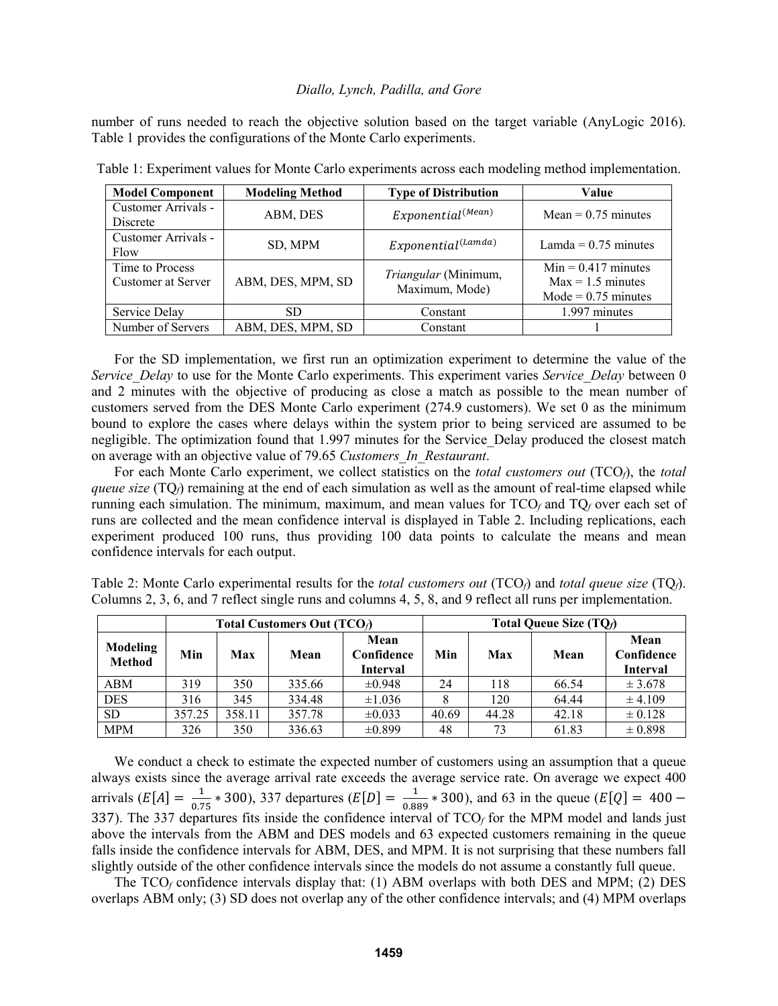number of runs needed to reach the objective solution based on the target variable (AnyLogic 2016). Table 1 provides the configurations of the Monte Carlo experiments.

| <b>Model Component</b>                       | <b>Modeling Method</b> | <b>Type of Distribution</b>            | Value                                                                 |  |
|----------------------------------------------|------------------------|----------------------------------------|-----------------------------------------------------------------------|--|
| Customer Arrivals -<br>Discrete              | ABM, DES               | Exponential <sup>(Mean)</sup>          | $Mean = 0.75$ minutes                                                 |  |
| Customer Arrivals -<br>Flow                  | SD, MPM                | Exponential <sup>(Lamda)</sup>         | Lamda = $0.75$ minutes                                                |  |
| Time to Process<br><b>Customer at Server</b> | ABM, DES, MPM, SD      | Triangular (Minimum,<br>Maximum, Mode) | $Min = 0.417$ minutes<br>$Max = 1.5$ minutes<br>$Mode = 0.75$ minutes |  |
| Service Delay                                | SD                     | Constant                               | 1.997 minutes                                                         |  |
| Number of Servers                            | ABM, DES, MPM, SD      | Constant                               |                                                                       |  |

Table 1: Experiment values for Monte Carlo experiments across each modeling method implementation.

For the SD implementation, we first run an optimization experiment to determine the value of the *Service Delay* to use for the Monte Carlo experiments. This experiment varies *Service Delay* between 0 and 2 minutes with the objective of producing as close a match as possible to the mean number of customers served from the DES Monte Carlo experiment (274.9 customers). We set 0 as the minimum bound to explore the cases where delays within the system prior to being serviced are assumed to be negligible. The optimization found that 1.997 minutes for the Service\_Delay produced the closest match on average with an objective value of 79.65 *Customers\_In\_Restaurant*.

For each Monte Carlo experiment, we collect statistics on the *total customers out* (TCO*f*), the *total queue size* (TQ<sub>*f*</sub>) remaining at the end of each simulation as well as the amount of real-time elapsed while running each simulation. The minimum, maximum, and mean values for TCO*<sup>f</sup>* and TQ*<sup>f</sup>* over each set of runs are collected and the mean confidence interval is displayed in Table 2. Including replications, each experiment produced 100 runs, thus providing 100 data points to calculate the means and mean confidence intervals for each output.

| Columns 2, 3, 6, and 7 reflect single runs and columns 4, 5, 8, and 9 reflect all runs per implementation. |                                   |     |      |                               |     |     |      |                    |
|------------------------------------------------------------------------------------------------------------|-----------------------------------|-----|------|-------------------------------|-----|-----|------|--------------------|
|                                                                                                            | <b>Total Customers Out (TCOA)</b> |     |      | <b>Total Oueue Size (TOA)</b> |     |     |      |                    |
| Modeling<br>Method                                                                                         | Min                               | Max | Mean | Mean<br>Confidence            | Min | Max | Mean | Mean<br>Confidence |

**Interval**

ABM | 319 | 350 | 335.66 |  $\pm 0.948$  | 24 | 118 | 66.54 |  $\pm 3.678$ DES  $\begin{array}{|c|c|c|c|c|c|c|c|} \hline \end{array}$  345  $\begin{array}{|c|c|c|c|c|c|} \hline \end{array}$  34.48  $\begin{array}{|c|c|c|c|c|} \hline \end{array}$   $\begin{array}{|c|c|c|c|c|} \hline \end{array}$  34.44  $\begin{array}{|c|c|c|c|c|} \hline \end{array}$   $\pm 4.109$ SD 357.25 358.11 357.78 ±0.033 40.69 44.28 42.18 ± 0.128 MPM 326 350 336.63 ±0.899 48 73 61.83 ± 0.898

**Interval**

| Table 2: Monte Carlo experimental results for the <i>total customers out</i> (TCO <sub>0</sub> ) and <i>total queue size</i> (TQ <sub>0</sub> ). |  |
|--------------------------------------------------------------------------------------------------------------------------------------------------|--|
| Columns 2, 3, 6, and 7 reflect single runs and columns 4, 5, 8, and 9 reflect all runs per implementation.                                       |  |

| We conduct a check to estimate the expected number of customers using an assumption that a queue                             |
|------------------------------------------------------------------------------------------------------------------------------|
| always exists since the average arrival rate exceeds the average service rate. On average we expect 400                      |
| arrivals (E[A] = $\frac{1}{0.75}$ * 300), 337 departures (E[D] = $\frac{1}{0.889}$ * 300), and 63 in the queue (E[Q] = 400 – |
| 337). The 337 departures fits inside the confidence interval of $TCO_f$ for the MPM model and lands just                     |
| above the intervals from the ABM and DES models and 63 expected customers remaining in the queue                             |
| falls inside the confidence intervals for ABM, DES, and MPM. It is not surprising that these numbers fall                    |
| slightly outside of the other confidence intervals since the models do not assume a constantly full queue.                   |

The  $TCO_f$  confidence intervals display that: (1) ABM overlaps with both DES and MPM; (2) DES overlaps ABM only; (3) SD does not overlap any of the other confidence intervals; and (4) MPM overlaps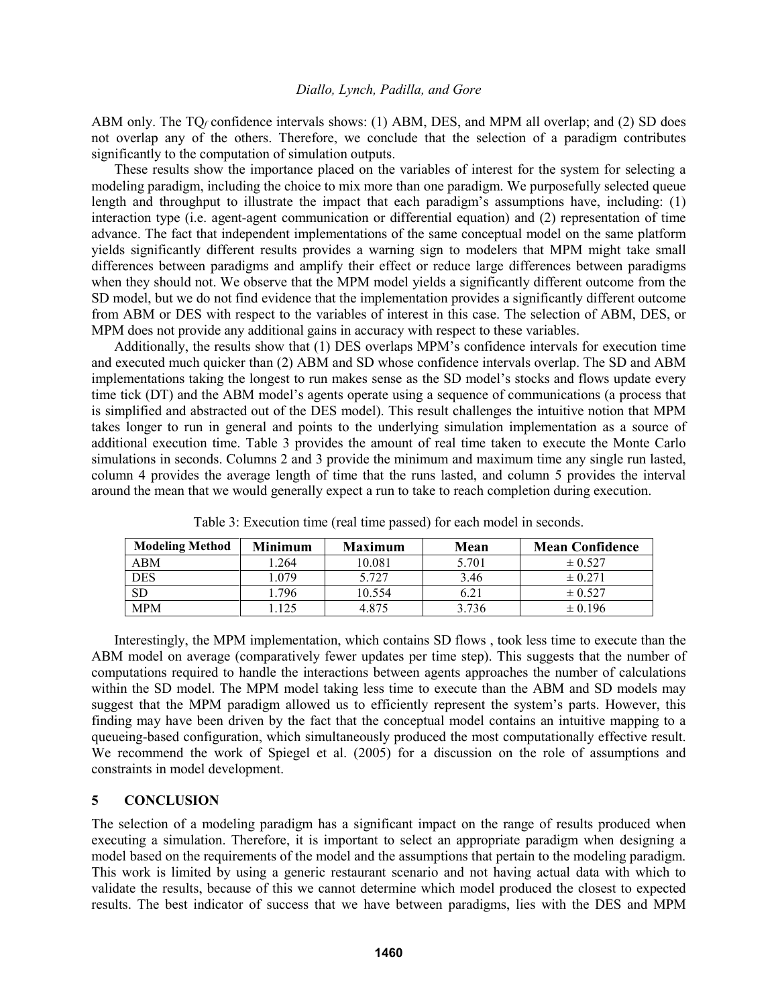ABM only. The TQ*<sup>f</sup>* confidence intervals shows: (1) ABM, DES, and MPM all overlap; and (2) SD does not overlap any of the others. Therefore, we conclude that the selection of a paradigm contributes significantly to the computation of simulation outputs.

These results show the importance placed on the variables of interest for the system for selecting a modeling paradigm, including the choice to mix more than one paradigm. We purposefully selected queue length and throughput to illustrate the impact that each paradigm's assumptions have, including: (1) interaction type (i.e. agent-agent communication or differential equation) and (2) representation of time advance. The fact that independent implementations of the same conceptual model on the same platform yields significantly different results provides a warning sign to modelers that MPM might take small differences between paradigms and amplify their effect or reduce large differences between paradigms when they should not. We observe that the MPM model yields a significantly different outcome from the SD model, but we do not find evidence that the implementation provides a significantly different outcome from ABM or DES with respect to the variables of interest in this case. The selection of ABM, DES, or MPM does not provide any additional gains in accuracy with respect to these variables.

Additionally, the results show that (1) DES overlaps MPM's confidence intervals for execution time and executed much quicker than (2) ABM and SD whose confidence intervals overlap. The SD and ABM implementations taking the longest to run makes sense as the SD model's stocks and flows update every time tick (DT) and the ABM model's agents operate using a sequence of communications (a process that is simplified and abstracted out of the DES model). This result challenges the intuitive notion that MPM takes longer to run in general and points to the underlying simulation implementation as a source of additional execution time. Table 3 provides the amount of real time taken to execute the Monte Carlo simulations in seconds. Columns 2 and 3 provide the minimum and maximum time any single run lasted, column 4 provides the average length of time that the runs lasted, and column 5 provides the interval around the mean that we would generally expect a run to take to reach completion during execution.

| <b>Modeling Method</b> | <b>Minimum</b> | <b>Maximum</b> | Mean  | <b>Mean Confidence</b> |
|------------------------|----------------|----------------|-------|------------------------|
| ABM                    | .264           | 10.081         | 5.701 | $\pm 0.527$            |
| <b>DES</b>             | .079           | 5.727          | 3.46  | $\pm 0.271$            |
| <b>SD</b>              | .796           | 10.554         | 6.21  | $\pm 0.527$            |
| <b>MPM</b>             | 125            | 4.875          | 3.736 | $\pm 0.196$            |

Table 3: Execution time (real time passed) for each model in seconds.

Interestingly, the MPM implementation, which contains SD flows , took less time to execute than the ABM model on average (comparatively fewer updates per time step). This suggests that the number of computations required to handle the interactions between agents approaches the number of calculations within the SD model. The MPM model taking less time to execute than the ABM and SD models may suggest that the MPM paradigm allowed us to efficiently represent the system's parts. However, this finding may have been driven by the fact that the conceptual model contains an intuitive mapping to a queueing-based configuration, which simultaneously produced the most computationally effective result. We recommend the work of Spiegel et al. (2005) for a discussion on the role of assumptions and constraints in model development.

### **5 CONCLUSION**

The selection of a modeling paradigm has a significant impact on the range of results produced when executing a simulation. Therefore, it is important to select an appropriate paradigm when designing a model based on the requirements of the model and the assumptions that pertain to the modeling paradigm. This work is limited by using a generic restaurant scenario and not having actual data with which to validate the results, because of this we cannot determine which model produced the closest to expected results. The best indicator of success that we have between paradigms, lies with the DES and MPM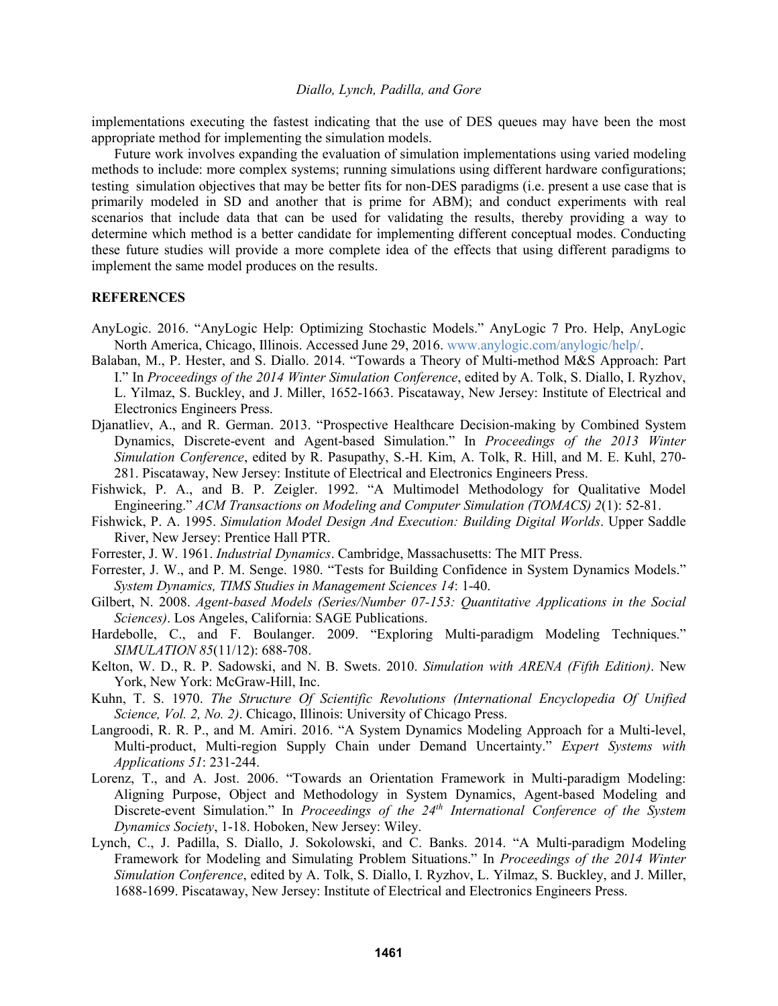implementations executing the fastest indicating that the use of DES queues may have been the most appropriate method for implementing the simulation models.

Future work involves expanding the evaluation of simulation implementations using varied modeling methods to include: more complex systems; running simulations using different hardware configurations; testing simulation objectives that may be better fits for non-DES paradigms (i.e. present a use case that is primarily modeled in SD and another that is prime for ABM); and conduct experiments with real scenarios that include data that can be used for validating the results, thereby providing a way to determine which method is a better candidate for implementing different conceptual modes. Conducting these future studies will provide a more complete idea of the effects that using different paradigms to implement the same model produces on the results.

#### **REFERENCES**

- AnyLogic. 2016. "AnyLogic Help: Optimizing Stochastic Models." AnyLogic 7 Pro. Help, AnyLogic North America, Chicago, Illinois. Accessed June 29, 2016. www.anylogic.com/anylogic/help/.
- Balaban, M., P. Hester, and S. Diallo. 2014. "Towards a Theory of Multi-method M&S Approach: Part I." In *Proceedings of the 2014 Winter Simulation Conference*, edited by A. Tolk, S. Diallo, I. Ryzhov, L. Yilmaz, S. Buckley, and J. Miller, 1652-1663. Piscataway, New Jersey: Institute of Electrical and Electronics Engineers Press.
- Djanatliev, A., and R. German. 2013. "Prospective Healthcare Decision-making by Combined System Dynamics, Discrete-event and Agent-based Simulation." In *Proceedings of the 2013 Winter Simulation Conference*, edited by R. Pasupathy, S.-H. Kim, A. Tolk, R. Hill, and M. E. Kuhl, 270- 281. Piscataway, New Jersey: Institute of Electrical and Electronics Engineers Press.
- Fishwick, P. A., and B. P. Zeigler. 1992. "A Multimodel Methodology for Qualitative Model Engineering." *ACM Transactions on Modeling and Computer Simulation (TOMACS) 2*(1): 52-81.
- Fishwick, P. A. 1995. *Simulation Model Design And Execution: Building Digital Worlds*. Upper Saddle River, New Jersey: Prentice Hall PTR.
- Forrester, J. W. 1961. *Industrial Dynamics*. Cambridge, Massachusetts: The MIT Press.
- Forrester, J. W., and P. M. Senge. 1980. "Tests for Building Confidence in System Dynamics Models." *System Dynamics, TIMS Studies in Management Sciences 14*: 1-40.
- Gilbert, N. 2008. *Agent-based Models (Series/Number 07-153: Quantitative Applications in the Social Sciences)*. Los Angeles, California: SAGE Publications.
- Hardebolle, C., and F. Boulanger. 2009. "Exploring Multi-paradigm Modeling Techniques." *SIMULATION 85*(11/12): 688-708.
- Kelton, W. D., R. P. Sadowski, and N. B. Swets. 2010. *Simulation with ARENA (Fifth Edition)*. New York, New York: McGraw-Hill, Inc.
- Kuhn, T. S. 1970. *The Structure Of Scientific Revolutions (International Encyclopedia Of Unified Science, Vol. 2, No. 2)*. Chicago, Illinois: University of Chicago Press.
- Langroodi, R. R. P., and M. Amiri. 2016. "A System Dynamics Modeling Approach for a Multi-level, Multi-product, Multi-region Supply Chain under Demand Uncertainty." *Expert Systems with Applications 51*: 231-244.
- Lorenz, T., and A. Jost. 2006. "Towards an Orientation Framework in Multi-paradigm Modeling: Aligning Purpose, Object and Methodology in System Dynamics, Agent-based Modeling and Discrete-event Simulation." In *Proceedings of the 24th International Conference of the System Dynamics Society*, 1-18. Hoboken, New Jersey: Wiley.
- Lynch, C., J. Padilla, S. Diallo, J. Sokolowski, and C. Banks. 2014. "A Multi-paradigm Modeling Framework for Modeling and Simulating Problem Situations." In *Proceedings of the 2014 Winter Simulation Conference*, edited by A. Tolk, S. Diallo, I. Ryzhov, L. Yilmaz, S. Buckley, and J. Miller, 1688-1699. Piscataway, New Jersey: Institute of Electrical and Electronics Engineers Press.